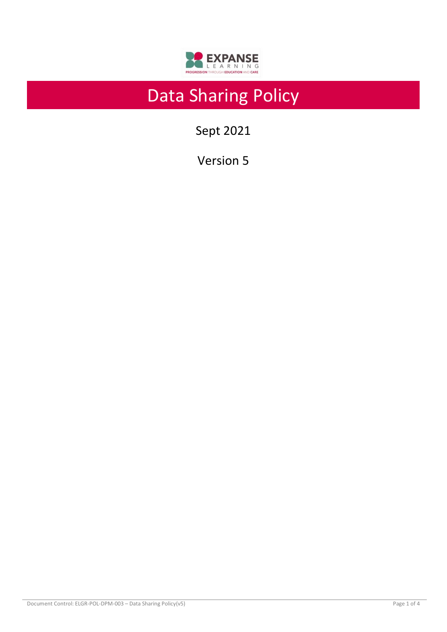

# Data Sharing Policy

Sept 2021

Version 5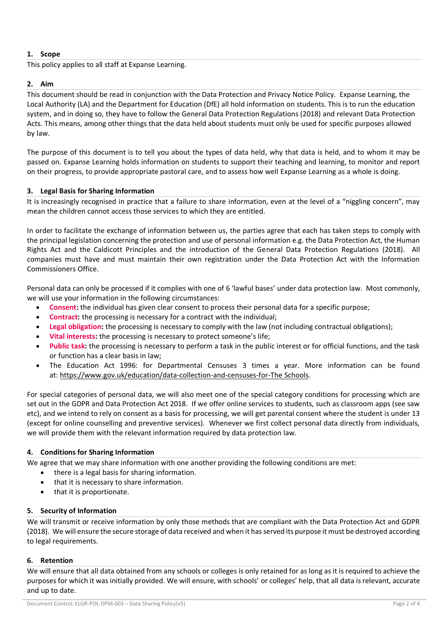## **1. Scope**

This policy applies to all staff at Expanse Learning.

## **2. Aim**

This document should be read in conjunction with the Data Protection and Privacy Notice Policy. Expanse Learning, the Local Authority (LA) and the Department for Education (DfE) all hold information on students. This is to run the education system, and in doing so, they have to follow the General Data Protection Regulations (2018) and relevant Data Protection Acts. This means, among other things that the data held about students must only be used for specific purposes allowed by law.

The purpose of this document is to tell you about the types of data held, why that data is held, and to whom it may be passed on. Expanse Learning holds information on students to support their teaching and learning, to monitor and report on their progress, to provide appropriate pastoral care, and to assess how well Expanse Learning as a whole is doing.

### **3. Legal Basis for Sharing Information**

It is increasingly recognised in practice that a failure to share information, even at the level of a "niggling concern", may mean the children cannot access those services to which they are entitled.

In order to facilitate the exchange of information between us, the parties agree that each has taken steps to comply with the principal legislation concerning the protection and use of personal information e.g. the Data Protection Act, the Human Rights Act and the Caldicott Principles and the introduction of the General Data Protection Regulations (2018). All companies must have and must maintain their own registration under the Data Protection Act with the Information Commissioners Office.

Personal data can only be processed if it complies with one of 6 'lawful bases' under data protection law. Most commonly, we will use your information in the following circumstances:

- **Consent:** the individual has given clear consent to process their personal data for a specific purpose;
- **Contract:** the processing is necessary for a contract with the individual;
- **Legal obligation:** the processing is necessary to comply with the law (not including contractual obligations);
- **Vital interests:** the processing is necessary to protect someone's life;
- **Public task:** the processing is necessary to perform a task in the public interest or for official functions, and the task or function has a clear basis in law;
- The Education Act 1996: for Departmental Censuses 3 times a year. More information can be found at: [https://www.gov.uk/education/data-collection-and-censuses-for-The](https://www.gov.uk/education/data-collection-and-censuses-for-schools) Schools.

For special categories of personal data, we will also meet one of the special category conditions for processing which are set out in the GDPR and Data Protection Act 2018. If we offer online services to students, such as classroom apps (see saw etc), and we intend to rely on consent as a basis for processing, we will get parental consent where the student is under 13 (except for online counselling and preventive services). Whenever we first collect personal data directly from individuals, we will provide them with the relevant information required by data protection law.

### **4. Conditions for Sharing Information**

We agree that we may share information with one another providing the following conditions are met:

- there is a legal basis for sharing information.
- that it is necessary to share information.
- that it is proportionate.

### **5. Security of Information**

We will transmit or receive information by only those methods that are compliant with the Data Protection Act and GDPR (2018). We will ensure the secure storage of data received and when it has served its purpose it must be destroyed according to legal requirements.

### **6. Retention**

We will ensure that all data obtained from any schools or colleges is only retained for as long as it is required to achieve the purposes for which it was initially provided. We will ensure, with schools' or colleges' help, that all data is relevant, accurate and up to date.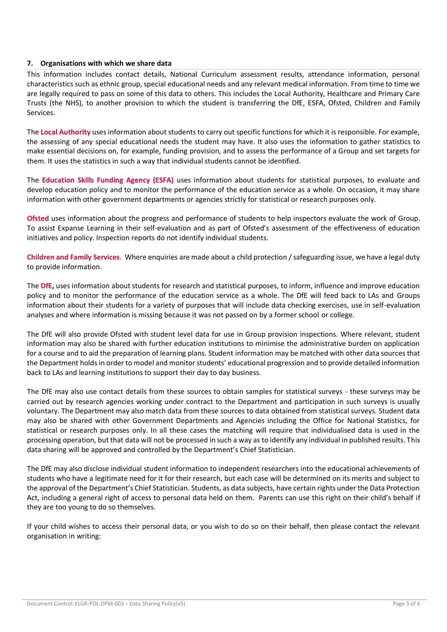#### **7. Organisations with which we share data**

This information includes contact details, National Curriculum assessment results, attendance information, personal characteristics such as ethnic group, special educational needs and any relevant medical information. From time to time we are legally required to pass on some of this data to others. This includes the Local Authority, Healthcare and Primary Care Trusts (the NHS), to another provision to which the student is transferring the DfE, ESFA, Ofsted, Children and Family Services.

The **Local Authority** uses information about students to carry out specific functions for which it is responsible. For example, the assessing of any special educational needs the student may have. It also uses the information to gather statistics to make essential decisions on, for example, funding provision, and to assess the performance of a Group and set targets for them. It uses the statistics in such a way that individual students cannot be identified.

The **Education Skills Funding Agency (ESFA)** uses information about students for statistical purposes, to evaluate and develop education policy and to monitor the performance of the education service as a whole. On occasion, it may share information with other government departments or agencies strictly for statistical or research purposes only.

**Ofsted** uses information about the progress and performance of students to help inspectors evaluate the work of Group. To assist Expanse Learning in their self-evaluation and as part of Ofsted's assessment of the effectiveness of education initiatives and policy. Inspection reports do not identify individual students.

**Children and Family Services**. Where enquiries are made about a child protection / safeguarding issue, we have a legal duty to provide information.

The **DfE,** uses information about students for research and statistical purposes, to inform, influence and improve education policy and to monitor the performance of the education service as a whole. The DfE will feed back to LAs and Groups information about their students for a variety of purposes that will include data checking exercises, use in self-evaluation analyses and where information is missing because it was not passed on by a former school or college.

The DfE will also provide Ofsted with student level data for use in Group provision inspections. Where relevant, student information may also be shared with further education institutions to minimise the administrative burden on application for a course and to aid the preparation of learning plans. Student information may be matched with other data sources that the Department holds in order to model and monitor students' educational progression and to provide detailed information back to LAs and learning institutions to support their day to day business.

The DfE may also use contact details from these sources to obtain samples for statistical surveys - these surveys may be carried out by research agencies working under contract to the Department and participation in such surveys is usually voluntary. The Department may also match data from these sources to data obtained from statistical surveys. Student data may also be shared with other Government Departments and Agencies including the Office for National Statistics, for statistical or research purposes only. In all these cases the matching will require that individualised data is used in the processing operation, but that data will not be processed in such a way as to identify any individual in published results. This data sharing will be approved and controlled by the Department's Chief Statistician.

The DfE may also disclose individual student information to independent researchers into the educational achievements of students who have a legitimate need for it for their research, but each case will be determined on its merits and subject to the approval of the Department's Chief Statistician. Students, as data subjects, have certain rights under the Data Protection Act, including a general right of access to personal data held on them. Parents can use this right on their child's behalf if they are too young to do so themselves.

If your child wishes to access their personal data, or you wish to do so on their behalf, then please contact the relevant organisation in writing: